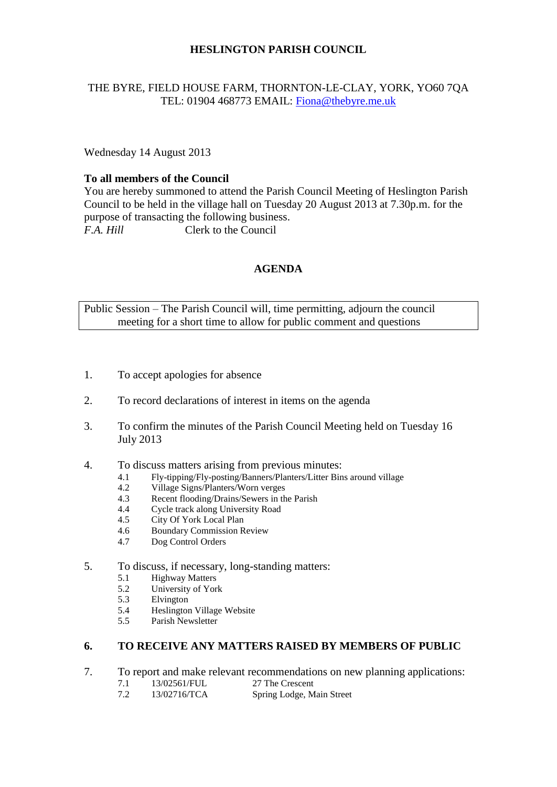# **HESLINGTON PARISH COUNCIL**

## THE BYRE, FIELD HOUSE FARM, THORNTON-LE-CLAY, YORK, YO60 7QA TEL: 01904 468773 EMAIL: [Fiona@thebyre.me.uk](mailto:Fiona@thebyre.me.uk)

Wednesday 14 August 2013

## **To all members of the Council**

You are hereby summoned to attend the Parish Council Meeting of Heslington Parish Council to be held in the village hall on Tuesday 20 August 2013 at 7.30p.m. for the purpose of transacting the following business. *F.A. Hill* Clerk to the Council

# **AGENDA**

Public Session – The Parish Council will, time permitting, adjourn the council meeting for a short time to allow for public comment and questions

- 1. To accept apologies for absence
- 2. To record declarations of interest in items on the agenda
- 3. To confirm the minutes of the Parish Council Meeting held on Tuesday 16 July 2013
- 4. To discuss matters arising from previous minutes:
	- 4.1 Fly-tipping/Fly-posting/Banners/Planters/Litter Bins around village<br>4.2 Village Signs/Planters/Worn verges
	- 4.2 Village Signs/Planters/Worn verges
	- 4.3 Recent flooding/Drains/Sewers in the Parish
	- 4.4 Cycle track along University Road
	- 4.5 City Of York Local Plan
	- 4.6 Boundary Commission Review
	- 4.7 Dog Control Orders
- 5. To discuss, if necessary, long-standing matters:
	- 5.1 Highway Matters<br>5.2 University of Yor
	- 5.2 University of York<br>5.3 Elvington
	- Elvington
	- 5.4 Heslington Village Website
	- 5.5 Parish Newsletter

#### **6. TO RECEIVE ANY MATTERS RAISED BY MEMBERS OF PUBLIC**

- 7. To report and make relevant recommendations on new planning applications:
	- 7.1 13/02561/FUL 27 The Crescent<br>
	7.2 13/02716/TCA Spring Lodge, M
	- 13/02716/TCA Spring Lodge, Main Street